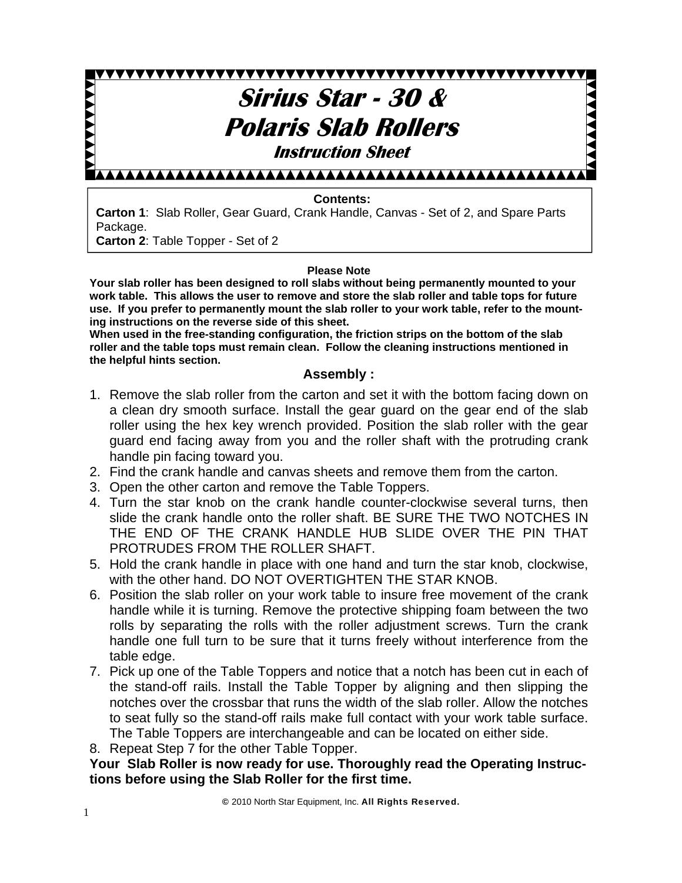# **Sirius Star - 30 & AAAAA Polaris Slab Rollers Instruction Sheet** AAAAAAAAAAAAAAAAAAAAAAAAAAAAAA

#### **Contents:**

**Carton 1**: Slab Roller, Gear Guard, Crank Handle, Canvas - Set of 2, and Spare Parts Package.

**Carton 2**: Table Topper - Set of 2

#### **Please Note**

**Your slab roller has been designed to roll slabs without being permanently mounted to your work table. This allows the user to remove and store the slab roller and table tops for future use. If you prefer to permanently mount the slab roller to your work table, refer to the mounting instructions on the reverse side of this sheet.** 

**When used in the free-standing configuration, the friction strips on the bottom of the slab roller and the table tops must remain clean. Follow the cleaning instructions mentioned in the helpful hints section.** 

#### **Assembly :**

- 1. Remove the slab roller from the carton and set it with the bottom facing down on a clean dry smooth surface. Install the gear guard on the gear end of the slab roller using the hex key wrench provided. Position the slab roller with the gear guard end facing away from you and the roller shaft with the protruding crank handle pin facing toward you.
- 2. Find the crank handle and canvas sheets and remove them from the carton.
- 3. Open the other carton and remove the Table Toppers.
- 4. Turn the star knob on the crank handle counter-clockwise several turns, then slide the crank handle onto the roller shaft. BE SURE THE TWO NOTCHES IN THE END OF THE CRANK HANDLE HUB SLIDE OVER THE PIN THAT PROTRUDES FROM THE ROLLER SHAFT.
- 5. Hold the crank handle in place with one hand and turn the star knob, clockwise, with the other hand. DO NOT OVERTIGHTEN THE STAR KNOB.
- 6. Position the slab roller on your work table to insure free movement of the crank handle while it is turning. Remove the protective shipping foam between the two rolls by separating the rolls with the roller adjustment screws. Turn the crank handle one full turn to be sure that it turns freely without interference from the table edge.
- 7. Pick up one of the Table Toppers and notice that a notch has been cut in each of the stand-off rails. Install the Table Topper by aligning and then slipping the notches over the crossbar that runs the width of the slab roller. Allow the notches to seat fully so the stand-off rails make full contact with your work table surface. The Table Toppers are interchangeable and can be located on either side.
- 8. Repeat Step 7 for the other Table Topper.

**Your Slab Roller is now ready for use. Thoroughly read the Operating Instructions before using the Slab Roller for the first time.**